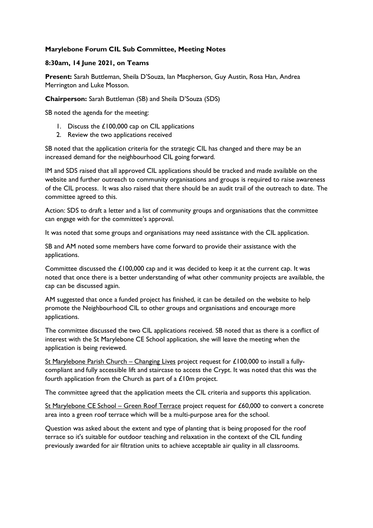## **Marylebone Forum CIL Sub Committee, Meeting Notes**

## **8:30am, 14 June 2021, on Teams**

**Present:** Sarah Buttleman, Sheila D'Souza, Ian Macpherson, Guy Austin, Rosa Han, Andrea Merrington and Luke Mosson.

**Chairperson:** Sarah Buttleman (SB) and Sheila D'Souza (SDS)

SB noted the agenda for the meeting:

- 1. Discuss the £100,000 cap on CIL applications
- 2. Review the two applications received

SB noted that the application criteria for the strategic CIL has changed and there may be an increased demand for the neighbourhood CIL going forward.

IM and SDS raised that all approved CIL applications should be tracked and made available on the website and further outreach to community organisations and groups is required to raise awareness of the CIL process. It was also raised that there should be an audit trail of the outreach to date. The committee agreed to this.

Action: SDS to draft a letter and a list of community groups and organisations that the committee can engage with for the committee's approval.

It was noted that some groups and organisations may need assistance with the CIL application.

SB and AM noted some members have come forward to provide their assistance with the applications.

Committee discussed the £100,000 cap and it was decided to keep it at the current cap. It was noted that once there is a better understanding of what other community projects are available, the cap can be discussed again.

AM suggested that once a funded project has finished, it can be detailed on the website to help promote the Neighbourhood CIL to other groups and organisations and encourage more applications.

The committee discussed the two CIL applications received. SB noted that as there is a conflict of interest with the St Marylebone CE School application, she will leave the meeting when the application is being reviewed.

St Marylebone Parish Church – Changing Lives project request for £100,000 to install a fullycompliant and fully accessible lift and staircase to access the Crypt. It was noted that this was the fourth application from the Church as part of a £10m project.

The committee agreed that the application meets the CIL criteria and supports this application.

St Marylebone CE School – Green Roof Terrace project request for £60,000 to convert a concrete area into a green roof terrace which will be a multi-purpose area for the school.

Question was asked about the extent and type of planting that is being proposed for the roof terrace so it's suitable for outdoor teaching and relaxation in the context of the CIL funding previously awarded for air filtration units to achieve acceptable air quality in all classrooms.